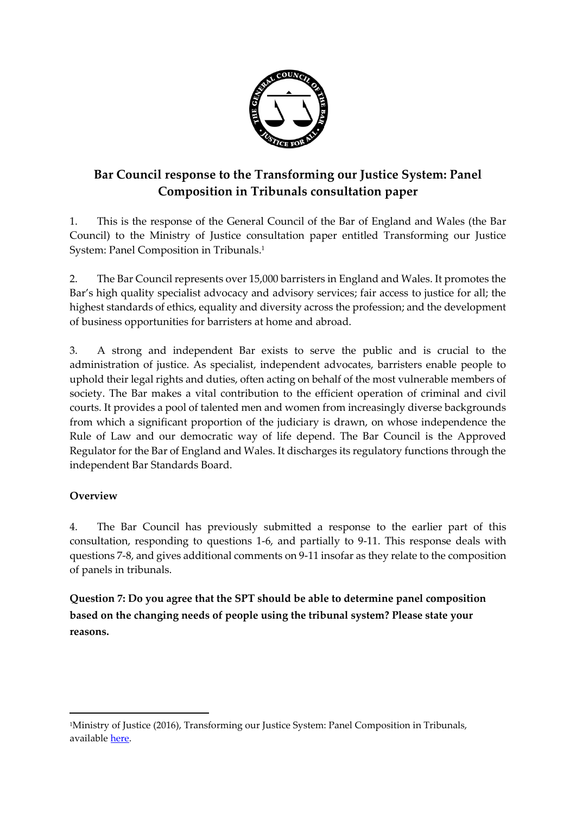

## **Bar Council response to the Transforming our Justice System: Panel Composition in Tribunals consultation paper**

1. This is the response of the General Council of the Bar of England and Wales (the Bar Council) to the Ministry of Justice consultation paper entitled Transforming our Justice System: Panel Composition in Tribunals. 1

2. The Bar Council represents over 15,000 barristers in England and Wales. It promotes the Bar's high quality specialist advocacy and advisory services; fair access to justice for all; the highest standards of ethics, equality and diversity across the profession; and the development of business opportunities for barristers at home and abroad.

3. A strong and independent Bar exists to serve the public and is crucial to the administration of justice. As specialist, independent advocates, barristers enable people to uphold their legal rights and duties, often acting on behalf of the most vulnerable members of society. The Bar makes a vital contribution to the efficient operation of criminal and civil courts. It provides a pool of talented men and women from increasingly diverse backgrounds from which a significant proportion of the judiciary is drawn, on whose independence the Rule of Law and our democratic way of life depend. The Bar Council is the Approved Regulator for the Bar of England and Wales. It discharges its regulatory functions through the independent Bar Standards Board.

## **Overview**

1

4. The Bar Council has previously submitted a response to the earlier part of this consultation, responding to questions 1-6, and partially to 9-11. This response deals with questions 7-8, and gives additional comments on 9-11 insofar as they relate to the composition of panels in tribunals.

**Question 7: Do you agree that the SPT should be able to determine panel composition based on the changing needs of people using the tribunal system? Please state your reasons.**

<sup>1</sup>Ministry of Justice (2016), Transforming our Justice System: Panel Composition in Tribunals, available [here.](https://consult.justice.gov.uk/digital-communications/panel-composition-in-tribunals/)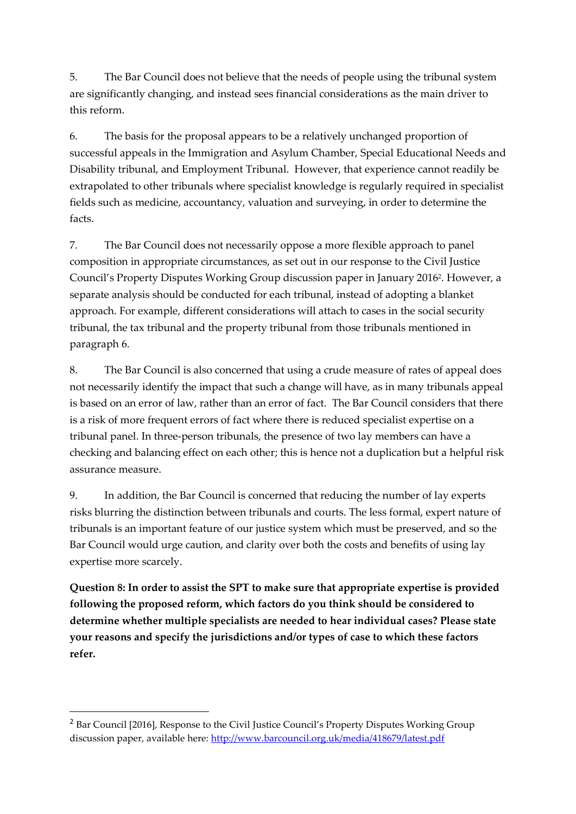5. The Bar Council does not believe that the needs of people using the tribunal system are significantly changing, and instead sees financial considerations as the main driver to this reform.

6. The basis for the proposal appears to be a relatively unchanged proportion of successful appeals in the Immigration and Asylum Chamber, Special Educational Needs and Disability tribunal, and Employment Tribunal. However, that experience cannot readily be extrapolated to other tribunals where specialist knowledge is regularly required in specialist fields such as medicine, accountancy, valuation and surveying, in order to determine the facts.

7. The Bar Council does not necessarily oppose a more flexible approach to panel composition in appropriate circumstances, as set out in our response to the Civil Justice Council's Property Disputes Working Group discussion paper in January 2016<sup>2</sup> . However, a separate analysis should be conducted for each tribunal, instead of adopting a blanket approach. For example, different considerations will attach to cases in the social security tribunal, the tax tribunal and the property tribunal from those tribunals mentioned in paragraph 6.

8. The Bar Council is also concerned that using a crude measure of rates of appeal does not necessarily identify the impact that such a change will have, as in many tribunals appeal is based on an error of law, rather than an error of fact. The Bar Council considers that there is a risk of more frequent errors of fact where there is reduced specialist expertise on a tribunal panel. In three-person tribunals, the presence of two lay members can have a checking and balancing effect on each other; this is hence not a duplication but a helpful risk assurance measure.

9. In addition, the Bar Council is concerned that reducing the number of lay experts risks blurring the distinction between tribunals and courts. The less formal, expert nature of tribunals is an important feature of our justice system which must be preserved, and so the Bar Council would urge caution, and clarity over both the costs and benefits of using lay expertise more scarcely.

**Question 8: In order to assist the SPT to make sure that appropriate expertise is provided following the proposed reform, which factors do you think should be considered to determine whether multiple specialists are needed to hear individual cases? Please state your reasons and specify the jurisdictions and/or types of case to which these factors refer.** 

1

<sup>&</sup>lt;sup>2</sup> Bar Council [2016], Response to the Civil Justice Council's Property Disputes Working Group discussion paper, available here:<http://www.barcouncil.org.uk/media/418679/latest.pdf>